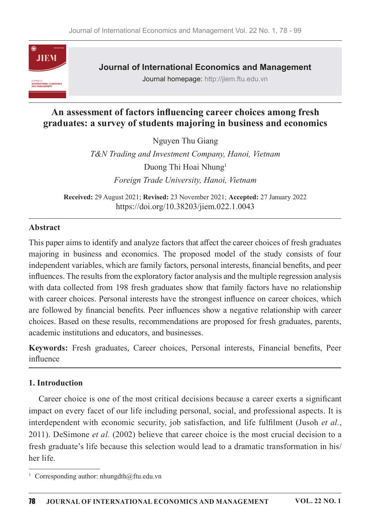

**Journal of International Economics and Management** Journal homepage: http://jiem.ftu.edu.vn

# An assessment of factors influencing career choices among fresh graduates: a survey of students majoring in business and economics

Nguyen Thu Giang T&N Trading and Investment Company, Hanoi, Vietnam Duong Thi Hoai Nhung<sup>1</sup> Foreign Trade University, Hanoi, Vietnam

Received: 29 August 2021; Revised: 23 November 2021; Accepted: 27 January 2022 https://doi.org/10.38203/jiem.022.1.0043

#### Abstract

This paper aims to identify and analyze factors that affect the career choices of fresh graduates majoring in business and economics. The proposed model of the study consists of four independent variables, which are family factors, personal interests, financial benefits, and peer influences. The results from the exploratory factor analysis and the multiple regression analysis with data collected from 198 fresh graduates show that family factors have no relationship with career choices. Personal interests have the strongest influence on career choices, which are followed by financial benefits. Peer influences show a negative relationship with career choices. Based on these results, recommendations are proposed for fresh graduates, parents, academic institutions and educators, and businesses.

Keywords: Fresh graduates, Career choices, Personal interests, Financial benefits, Peer influence

#### 1. Introduction

Career choice is one of the most critical decisions because a career exerts a significant impact on every facet of our life including personal, social, and professional aspects. It is interdependent with economic security, job satisfaction, and life fulfilment (Jusoh et al., 2011). DeSimone et al. (2002) believe that career choice is the most crucial decision to a fresh graduate's life because this selection would lead to a dramatic transformation in his/ her life.

<sup>&</sup>lt;sup>1</sup> Corresponding author: nhungdth@ftu.edu.vn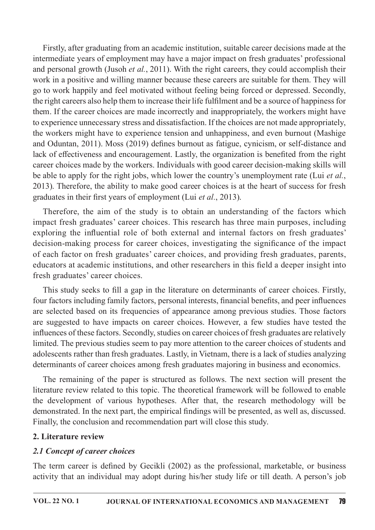Firstly, after graduating from an academic institution, suitable career decisions made at the intermediate years of employment may have a major impact on fresh graduates' professional and personal growth (Jusoh et al., 2011). With the right careers, they could accomplish their work in a positive and willing manner because these careers are suitable for them. They will go to work happily and feel motivated without feeling being forced or depressed. Secondly, the right careers also help them to increase their life fulfilment and be a source of happiness for them. If the career choices are made incorrectly and inappropriately, the workers might have to experience unnecessary stress and dissatisfaction. If the choices are not made appropriately, the workers might have to experience tension and unhappiness, and even burnout (Mashige and Oduntan, 2011). Moss (2019) defines burnout as fatigue, cynicism, or self-distance and lack of effectiveness and encouragement. Lastly, the organization is benefited from the right career choices made by the workers. Individuals with good career decision-making skills will be able to apply for the right jobs, which lower the country's unemployment rate (Lui et al., 2013). Therefore, the ability to make good career choices is at the heart of success for fresh graduates in their first years of employment (Lui et al., 2013).

Therefore, the aim of the study is to obtain an understanding of the factors which impact fresh graduates' career choices. This research has three main purposes, including exploring the influential role of both external and internal factors on fresh graduates' decision-making process for career choices, investigating the significance of the impact of each factor on fresh graduates' career choices, and providing fresh graduates, parents, educators at academic institutions, and other researchers in this field a deeper insight into fresh graduates' career choices.

This study seeks to fill a gap in the literature on determinants of career choices. Firstly, four factors including family factors, personal interests, financial benefits, and peer influences are selected based on its frequencies of appearance among previous studies. Those factors are suggested to have impacts on career choices. However, a few studies have tested the influences of these factors. Secondly, studies on career choices of fresh graduates are relatively limited. The previous studies seem to pay more attention to the career choices of students and adolescents rather than fresh graduates. Lastly, in Vietnam, there is a lack of studies analyzing determinants of career choices among fresh graduates majoring in business and economics.

The remaining of the paper is structured as follows. The next section will present the literature review related to this topic. The theoretical framework will be followed to enable the development of various hypotheses. After that, the research methodology will be demonstrated. In the next part, the empirical findings will be presented, as well as, discussed. Finally, the conclusion and recommendation part will close this study.

### 2. Literature review

### 2.1 Concept of career choices

The term career is defined by Gecikli (2002) as the professional, marketable, or business activity that an individual may adopt during his/her study life or till death. A person's job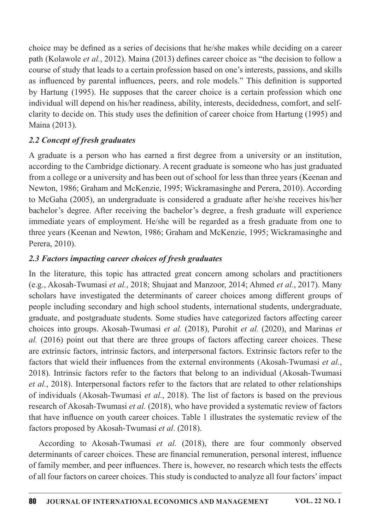choice may be defined as a series of decisions that he/she makes while deciding on a career path (Kolawole et al., 2012). Maina (2013) defines career choice as "the decision to follow a course of study that leads to a certain profession based on one's interests, passions, and skills as influenced by parental influences, peers, and role models." This definition is supported by Hartung (1995). He supposes that the career choice is a certain profession which one individual will depend on his/her readiness, ability, interests, decidedness, comfort, and selfclarity to decide on. This study uses the definition of career choice from Hartung (1995) and Maina(2013).

## 2.2 Concept of fresh graduates

A graduate is a person who has earned a first degree from a university or an institution, according to the Cambridge dictionary. A recent graduate is someone who has just graduated from a college or a university and has been out of school for less than three years (Keenan and Newton, 1986; Graham and McKenzie, 1995; Wickramasinghe and Perera, 2010). According to McGaha (2005), an undergraduate is considered a graduate after he/she receives his/her bachelor's degree. After receiving the bachelor's degree, a fresh graduate will experience immediate years of employment. He/she will be regarded as a fresh graduate from one to three years (Keenan and Newton, 1986; Graham and McKenzie, 1995; Wickramasinghe and Perera, 2010).

## 2.3 Factors impacting career choices of fresh graduates

In the literature, this topic has attracted great concern among scholars and practitioners (e.g., Akosah-Twumasi et al., 2018; Shujaat and Manzoor, 2014; Ahmed et al., 2017). Many scholars have investigated the determinants of career choices among different groups of people including secondary and high school students, international students, undergraduate, graduate, and postgraduate students. Some studies have categorized factors affecting career choices into groups. Akosah-Twumasi et al. (2018), Purohit et al. (2020), and Marinas et  $al.$  (2016) point out that there are three groups of factors affecting career choices. These are extrinsic factors, intrinsic factors, and interpersonal factors. Extrinsic factors refer to the factors that wield their influences from the external environments (Akosah-Twumasi et al., 2018). Intrinsic factors refer to the factors that belong to an individual (Akosah-Twumasi et al., 2018). Interpersonal factors refer to the factors that are related to other relationships of individuals (Akosah-Twumasi et al., 2018). The list of factors is based on the previous research of Akosah-Twumasi et al. (2018), who have provided a systematic review of factors that have influence on youth career choices. Table 1 illustrates the systematic review of the factors proposed by Akosah-Twumasi et al. (2018).

According to Akosah-Twumasi et al. (2018), there are four commonly observed determinants of career choices. These are financial remuneration, personal interest, influence of family member, and peer influences. There is, however, no research which tests the effects of all four factors on career choices. This study is conducted to analyze all four factors' impact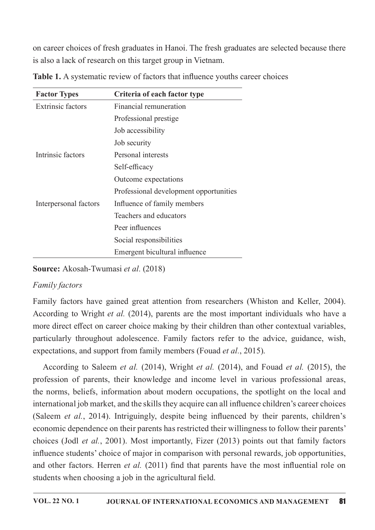on career choices of fresh graduates in Hanoi. The fresh graduates are selected because there is also a lack of research on this target group in Vietnam.

| <b>Factor Types</b>      | Criteria of each factor type           |  |  |  |
|--------------------------|----------------------------------------|--|--|--|
| <b>Extrinsic factors</b> | Financial remuneration                 |  |  |  |
|                          | Professional prestige                  |  |  |  |
|                          | Job accessibility                      |  |  |  |
|                          | Job security                           |  |  |  |
| Intrinsic factors        | Personal interests                     |  |  |  |
|                          | Self-efficacy                          |  |  |  |
|                          | Outcome expectations                   |  |  |  |
|                          | Professional development opportunities |  |  |  |
| Interpersonal factors    | Influence of family members            |  |  |  |
|                          | Teachers and educators                 |  |  |  |
|                          | Peer influences                        |  |  |  |
|                          | Social responsibilities                |  |  |  |
|                          | Emergent bicultural influence          |  |  |  |

Table 1. A systematic review of factors that influence youths career choices

Source: Akosah-Twumasi et al. (2018)

# **Family** factors

Family factors have gained great attention from researchers (Whiston and Keller, 2004). According to Wright et al. (2014), parents are the most important individuals who have a more direct effect on career choice making by their children than other contextual variables, particularly throughout adolescence. Family factors refer to the advice, guidance, wish, expectations, and support from family members (Fouad *et al.*, 2015).

According to Saleem et al. (2014), Wright et al. (2014), and Fouad et al. (2015), the profession of parents, their knowledge and income level in various professional areas, the norms, beliefs, information about modern occupations, the spotlight on the local and international job market, and the skills they acquire can all influence children's career choices (Saleem *et al.*, 2014). Intriguingly, despite being influenced by their parents, children's economic dependence on their parents has restricted their willingness to follow their parents' choices (Jodl *et al.*, 2001). Most importantly, Fizer  $(2013)$  points out that family factors influence students' choice of major in comparison with personal rewards, job opportunities, and other factors. Herren *et al.* (2011) find that parents have the most influential role on students when choosing a job in the agricultural field.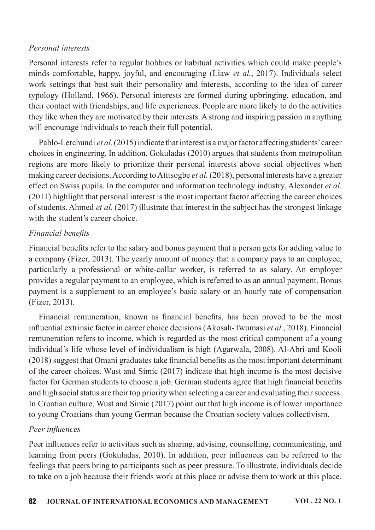#### Personal interests

Personal interests refer to regular hobbies or habitual activities which could make people's minds comfortable, happy, joyful, and encouraging (Liaw *et al.*, 2017). Individuals select work settings that best suit their personality and interests, according to the idea of career typology (Holland, 1966). Personal interests are formed during upbringing, education, and their contact with friendships, and life experiences. People are more likely to do the activities they like when they are motivated by their interests. A strong and inspiring passion in anything will encourage individuals to reach their full potential.

Pablo-Lerchundi et al.  $(2015)$  indicate that interest is a major factor affecting students' career choices in engineering. In addition, Gokuladas (2010) argues that students from metropolitan regions are more likely to prioritize their personal interests above social objectives when making career decisions. According to Atitsogbe *et al.* (2018), personal interests have a greater effect on Swiss pupils. In the computer and information technology industry, Alexander et al.  $(2011)$  highlight that personal interest is the most important factor affecting the career choices of students. Ahmed et al. (2017) illustrate that interest in the subject has the strongest linkage with the student's career choice.

## Financial benefits

Financial benefits refer to the salary and bonus payment that a person gets for adding value to a company (Fizer, 2013). The yearly amount of money that a company pays to an employee, particularly a professional or white-collar worker, is referred to as salary. An employer provides a regular payment to an employee, which is referred to as an annual payment. Bonus payment is a supplement to an employee's basic salary or an hourly rate of compensation (Fizer,2013).

Financial remuneration, known as financial benefits, has been proved to be the most influential extrinsic factor in career choice decisions (Akosah-Twumasi *et al.*, 2018). Financial remuneration refers to income, which is regarded as the most critical component of a young individual's life whose level of individualism is high (Agarwala, 2008). Al-Abri and Kooli  $(2018)$  suggest that Omani graduates take financial benefits as the most important determinant of the career choices. Wust and Simic (2017) indicate that high income is the most decisive factor for German students to choose a job. German students agree that high financial benefits and high social status are their top priority when selecting a career and evaluating their success. In Croatian culture, Wust and Simic  $(2017)$  point out that high income is of lower importance to young Croatians than young German because the Croatian society values collectivism.

### Peer influences

Peer influences refer to activities such as sharing, advising, counselling, communicating, and learning from peers (Gokuladas, 2010). In addition, peer influences can be referred to the feelings that peers bring to participants such as peer pressure. To illustrate, individuals decide to take on a job because their friends work at this place or advise them to work at this place.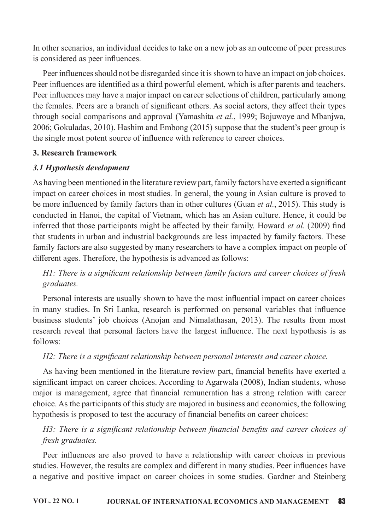In other scenarios, an individual decides to take on a new job as an outcome of peer pressures is considered as peer influences.

Peer influences should not be disregarded since it is shown to have an impact on job choices. Peer influences are identified as a third powerful element, which is after parents and teachers. Peer influences may have a major impact on career selections of children, particularly among the females. Peers are a branch of significant others. As social actors, they affect their types through social comparisons and approval (Yamashita et al., 1999; Bojuwoye and Mbanjwa, 2006; Gokuladas, 2010). Hashim and Embong (2015) suppose that the student's peer group is the single most potent source of influence with reference to career choices.

## 3. Research framework

# 3.1 Hypothesis development

As having been mentioned in the literature review part, family factors have exerted a significant impact on career choices in most studies. In general, the young in Asian culture is proved to be more influenced by family factors than in other cultures (Guan et al., 2015). This study is conducted in Hanoi, the capital of Vietnam, which has an Asian culture. Hence, it could be inferred that those participants might be affected by their family. Howard et al. (2009) find that students in urban and industrial backgrounds are less impacted by family factors. These family factors are also suggested by many researchers to have a complex impact on people of different ages. Therefore, the hypothesis is advanced as follows:

H1: There is a significant relationship between family factors and career choices of fresh graduates.

Personal interests are usually shown to have the most influential impact on career choices in many studies. In Sri Lanka, research is performed on personal variables that influence business students' job choices (Anojan and Nimalathasan, 2013). The results from most research reveal that personal factors have the largest influence. The next hypothesis is as follows:

# H2: There is a significant relationship between personal interests and career choice.

As having been mentioned in the literature review part, financial benefits have exerted a significant impact on career choices. According to Agarwala (2008), Indian students, whose major is management, agree that financial remuneration has a strong relation with career choice. As the participants of this study are majored in business and economics, the following hypothesis is proposed to test the accuracy of financial benefits on career choices:

H3: There is a significant relationship between financial benefits and career choices of fresh graduates.

Peer influences are also proved to have a relationship with career choices in previous studies. However, the results are complex and different in many studies. Peer influences have a negative and positive impact on career choices in some studies. Gardner and Steinberg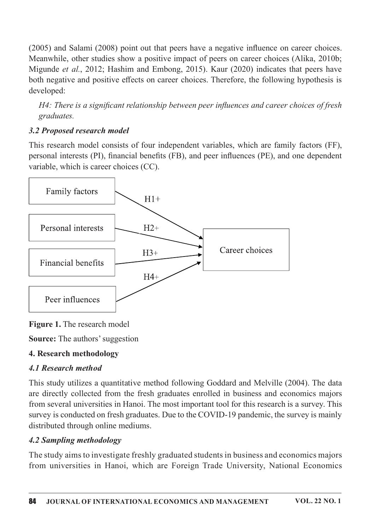$(2005)$  and Salami  $(2008)$  point out that peers have a negative influence on career choices. Meanwhile, other studies show a positive impact of peers on career choices (Alika, 2010b; Migunde et al., 2012; Hashim and Embong, 2015). Kaur (2020) indicates that peers have both negative and positive effects on career choices. Therefore, the following hypothesis is developed:

H4: There is a significant relationship between peer influences and career choices of fresh graduates.

# 3.2 Proposed research model

This research model consists of four independent variables, which are family factors (FF), personal interests (PI), financial benefits (FB), and peer influences (PE), and one dependent variable, which is career choices (CC).



Figure 1. The research model

**Source:** The authors' suggestion

# 4. Research methodology

# 4.1 Research method

This study utilizes a quantitative method following Goddard and Melville (2004). The data are directly collected from the fresh graduates enrolled in business and economics majors from several universities in Hanoi. The most important tool for this research is a survey. This survey is conducted on fresh graduates. Due to the COVID-19 pandemic, the survey is mainly distributed through online mediums.

# 4.2 Sampling methodology

The study aims to investigate freshly graduated students in business and economics majors from universities in Hanoi, which are Foreign Trade University, National Economics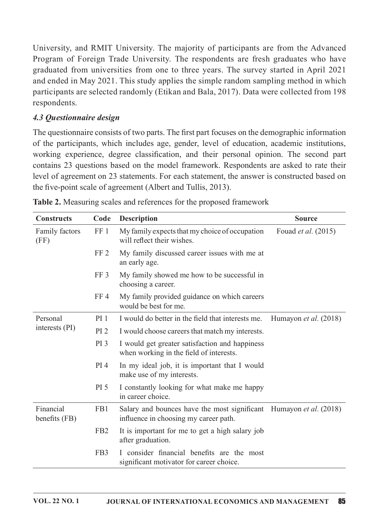University, and RMIT University. The majority of participants are from the Advanced Program of Foreign Trade University. The respondents are fresh graduates who have graduated from universities from one to three years. The survey started in April 2021 and ended in May 2021. This study applies the simple random sampling method in which participants are selected randomly (Etikan and Bala, 2017). Data were collected from 198 respondents.

### 4.3 Questionnaire design

The questionnaire consists of two parts. The first part focuses on the demographic information of the participants, which includes age, gender, level of education, academic institutions, working experience, degree classification, and their personal opinion. The second part contains 23 questions based on the model framework. Respondents are asked to rate their level of agreement on 23 statements. For each statement, the answer is constructed based on the five-point scale of agreement (Albert and Tullis, 2013).

| <b>Constructs</b>                                                                                                          | Code            | <b>Description</b>                                                                        | <b>Source</b>                  |  |
|----------------------------------------------------------------------------------------------------------------------------|-----------------|-------------------------------------------------------------------------------------------|--------------------------------|--|
| Family factors<br>(FF)                                                                                                     | FF 1            | My family expects that my choice of occupation<br>will reflect their wishes.              | Fouad <i>et al.</i> (2015)     |  |
|                                                                                                                            | FF <sub>2</sub> | My family discussed career issues with me at<br>an early age.                             |                                |  |
|                                                                                                                            | FF <sub>3</sub> | My family showed me how to be successful in<br>choosing a career.                         |                                |  |
|                                                                                                                            | FF <sub>4</sub> | My family provided guidance on which careers<br>would be best for me.                     |                                |  |
| Personal                                                                                                                   | PI <sub>1</sub> | I would do better in the field that interests me.                                         | Humayon <i>et al.</i> $(2018)$ |  |
| interests (PI)                                                                                                             | PI <sub>2</sub> | I would choose careers that match my interests.                                           |                                |  |
|                                                                                                                            | PI <sub>3</sub> | I would get greater satisfaction and happiness<br>when working in the field of interests. |                                |  |
|                                                                                                                            | PI <sub>4</sub> | In my ideal job, it is important that I would<br>make use of my interests.                |                                |  |
|                                                                                                                            | <b>PI</b> 5     | I constantly looking for what make me happy<br>in career choice.                          |                                |  |
| Financial<br>Salary and bounces have the most significant<br>FB1<br>benefits (FB)<br>influence in choosing my career path. |                 | Humayon <i>et al.</i> (2018)                                                              |                                |  |
|                                                                                                                            | FB <sub>2</sub> | It is important for me to get a high salary job<br>after graduation.                      |                                |  |
|                                                                                                                            | FB <sub>3</sub> | I consider financial benefits are the most<br>significant motivator for career choice.    |                                |  |

Table 2. Measuring scales and references for the proposed framework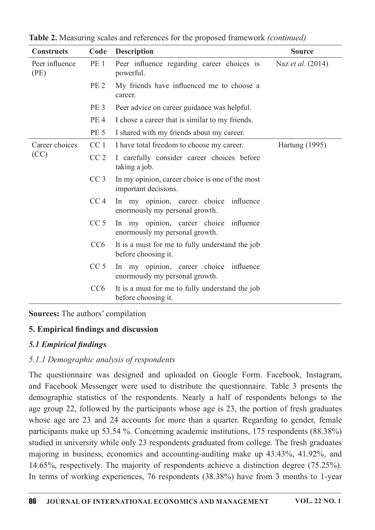| <b>Constructs</b>      | Code            | <b>Description</b>                                                       | <b>Source</b>            |  |
|------------------------|-----------------|--------------------------------------------------------------------------|--------------------------|--|
| Peer influence<br>(PE) | PE <sub>1</sub> | Peer influence regarding career choices is<br>powerful.                  | Naz <i>et al.</i> (2014) |  |
|                        | PE <sub>2</sub> | My friends have influenced me to choose a<br>career.                     |                          |  |
|                        | PE <sub>3</sub> | Peer advice on career guidance was helpful.                              |                          |  |
|                        | PE <sub>4</sub> | I chose a career that is similar to my friends.                          |                          |  |
|                        | PE <sub>5</sub> | I shared with my friends about my career.                                |                          |  |
| Career choices         | CC <sub>1</sub> | I have total freedom to choose my career.                                | Hartung (1995)           |  |
| (CC)                   | CC <sub>2</sub> | I carefully consider career choices before<br>taking a job.              |                          |  |
|                        | CC <sub>3</sub> | In my opinion, career choice is one of the most<br>important decisions.  |                          |  |
|                        | CC <sub>4</sub> | In my opinion, career choice influence<br>enormously my personal growth. |                          |  |
|                        | CC <sub>5</sub> | In my opinion, career choice influence<br>enormously my personal growth. |                          |  |
|                        | CC <sub>6</sub> | It is a must for me to fully understand the job<br>before choosing it.   |                          |  |
|                        | CC <sub>5</sub> | In my opinion, career choice influence<br>enormously my personal growth. |                          |  |
|                        | CC6             | It is a must for me to fully understand the job<br>before choosing it.   |                          |  |

Table 2. Measuring scales and references for the proposed framework *(continued)* 

### Sources: The authors' compilation

### 5. Empirical findings and discussion

### 5.1 Empirical findings

### 5.1.1 Demographic analysis of respondents

The questionnaire was designed and uploaded on Google Form. Facebook, Instagram, and Facebook Messenger were used to distribute the questionnaire. Table 3 presents the demographic statistics of the respondents. Nearly a half of respondents belongs to the age group 22, followed by the participants whose age is 23, the portion of fresh graduates whose age are 23 and 24 accounts for more than a quarter. Regarding to gender, female participants make up 53.54 %. Concerning academic institutions,  $175$  respondents (88.38%) studied in university while only 23 respondents graduated from college. The fresh graduates majoring in business, economics and accounting-auditing make up 43.43%, 41.92%, and 14.65%, respectively.The majority of respondents achieve a distinction degree (75.25%). In terms of working experiences, 76 respondents (38.38%) have from 3 months to 1-year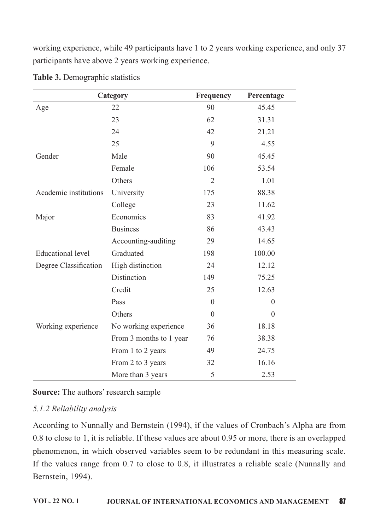working experience, while 49 participants have 1 to 2 years working experience, and only 37 participants have above 2 years working experience.

| Category                 |                         | Frequency      | Percentage       |
|--------------------------|-------------------------|----------------|------------------|
| Age                      | 22                      | 90             | 45.45            |
|                          | 23                      | 62             | 31.31            |
|                          | 24                      | 42             | 21.21            |
|                          | 25                      | 9              | 4.55             |
| Gender                   | Male                    | 90             | 45.45            |
|                          | Female                  | 106            | 53.54            |
|                          | Others                  | $\overline{2}$ | 1.01             |
| Academic institutions    | University              | 175            | 88.38            |
|                          | College                 | 23             | 11.62            |
| Major                    | Economics               | 83             | 41.92            |
|                          | <b>Business</b>         | 86             | 43.43            |
|                          | Accounting-auditing     | 29             | 14.65            |
| <b>Educational level</b> | Graduated               | 198            | 100.00           |
| Degree Classification    | High distinction        | 24             | 12.12            |
|                          | Distinction             | 149            | 75.25            |
|                          | Credit                  | 25             | 12.63            |
|                          | Pass                    | $\overline{0}$ | $\boldsymbol{0}$ |
|                          | Others                  | $\theta$       | $\boldsymbol{0}$ |
| Working experience       | No working experience   | 36             | 18.18            |
|                          | From 3 months to 1 year | 76             | 38.38            |
|                          | From 1 to 2 years       | 49             | 24.75            |
|                          | From 2 to 3 years       | 32             | 16.16            |
|                          | More than 3 years       | 5              | 2.53             |

Table 3. Demographic statistics

Source: The authors' research sample

# 5.1.2 Reliability analysis

According to Nunnally and Bernstein (1994), if the values of Cronbach's Alpha are from 0.8 to close to 1, it is reliable. If these values are about 0.95 or more, there is an overlapped phenomenon, in which observed variables seem to be redundant in this measuring scale. If the values range from  $0.7$  to close to  $0.8$ , it illustrates a reliable scale (Nunnally and Bernstein, 1994).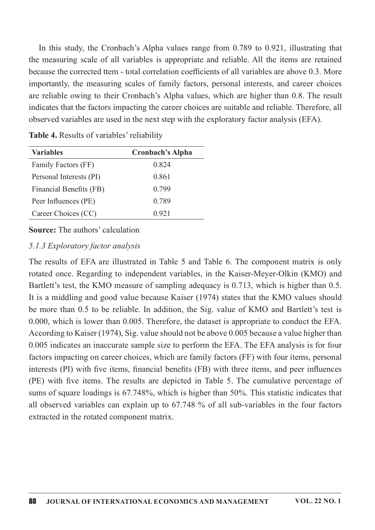In this study, the Cronbach's Alpha values range from  $0.789$  to  $0.921$ , illustrating that the measuring scale of all variables is appropriate and reliable. All the items are retained because the corrected ttem - total correlation coefficients of all variables are above 0.3. More importantly, the measuring scales of family factors, personal interests, and career choices are reliable owing to their Cronbach's Alpha values, which are higher than 0.8. The result indicates that the factors impacting the career choices are suitable and reliable. Therefore, all observed variables are used in the next step with the exploratory factor analysis (EFA).

| <b>Variables</b>        | <b>Cronbach's Alpha</b> |
|-------------------------|-------------------------|
| Family Factors (FF)     | 0.824                   |
| Personal Interests (PI) | 0.861                   |
| Financial Benefits (FB) | 0.799                   |
| Peer Influences (PE)    | 0.789                   |
| Career Choices (CC)     | 0.921                   |

Table 4. Results of variables' reliability

### **Source:** The authors' calculation

#### 5.1.3 Exploratory factor analysis

The results of EFA are illustrated in Table 5 and Table 6. The component matrix is only rotated once. Regarding to independent variables, in the Kaiser-Meyer-Olkin (KMO) and Bartlett's test, the KMO measure of sampling adequacy is 0.713, which is higher than 0.5. It is a middling and good value because Kaiser (1974) states that the KMO values should be more than 0.5 to be reliable. In addition, the Sig. value of KMO and Bartlett's test is 0.000, which is lower than 0.005. Therefore, the dataset is appropriate to conduct the EFA. According to Kaiser (1974), Sig. value should not be above 0.005 because a value higher than 0.005 indicates an inaccurate sample size to perform the EFA. The EFA analysis is for four factors impacting on career choices, which are family factors (FF) with four items, personal interests (PI) with five items, financial benefits (FB) with three items, and peer influences (PE) with five items. The results are depicted in Table 5. The cumulative percentage of sums of square loadings is  $67.748\%$ , which is higher than  $50\%$ . This statistic indicates that all observed variables can explain up to  $67.748\%$  of all sub-variables in the four factors extracted in the rotated component matrix.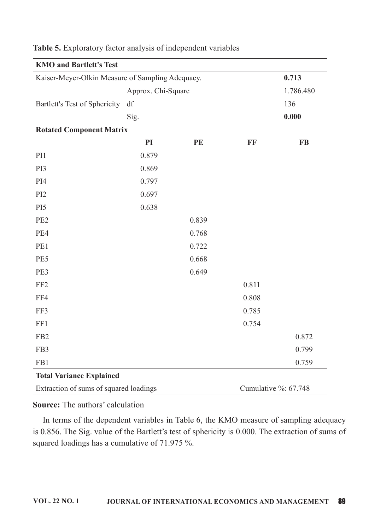| <b>KMO and Bartlett's Test</b>                   |                    |           |              |                      |
|--------------------------------------------------|--------------------|-----------|--------------|----------------------|
| Kaiser-Meyer-Olkin Measure of Sampling Adequacy. |                    |           |              | 0.713                |
|                                                  | Approx. Chi-Square | 1.786.480 |              |                      |
| Bartlett's Test of Sphericity                    | df                 |           |              | 136                  |
|                                                  | Sig.               |           |              | 0.000                |
| <b>Rotated Component Matrix</b>                  |                    |           |              |                      |
|                                                  | PI                 | PE        | $\mathbf{F}$ | <b>FB</b>            |
| PI1                                              | 0.879              |           |              |                      |
| PI3                                              | 0.869              |           |              |                      |
| PI4                                              | 0.797              |           |              |                      |
| PI <sub>2</sub>                                  | 0.697              |           |              |                      |
| PI <sub>5</sub>                                  | 0.638              |           |              |                      |
| PE <sub>2</sub>                                  |                    | 0.839     |              |                      |
| PE4                                              |                    | 0.768     |              |                      |
| PE1                                              |                    | 0.722     |              |                      |
| PE5                                              |                    | 0.668     |              |                      |
| PE3                                              |                    | 0.649     |              |                      |
| FF <sub>2</sub>                                  |                    |           | 0.811        |                      |
| FF4                                              |                    |           | 0.808        |                      |
| FF3                                              |                    |           | 0.785        |                      |
| FF1                                              |                    |           | 0.754        |                      |
| FB <sub>2</sub>                                  |                    |           |              | 0.872                |
| FB3                                              |                    |           |              | 0.799                |
| FB1                                              |                    |           |              | 0.759                |
| <b>Total Variance Explained</b>                  |                    |           |              |                      |
| Extraction of sums of squared loadings           |                    |           |              | Cumulative %: 67.748 |

Table 5. Exploratory factor analysis of independent variables

Source: The authors' calculation

In terms of the dependent variables in Table 6, the KMO measure of sampling adequacy is 0.856. The Sig. value of the Bartlett's test of sphericity is 0.000. The extraction of sums of squared loadings has a cumulative of 71.975 %.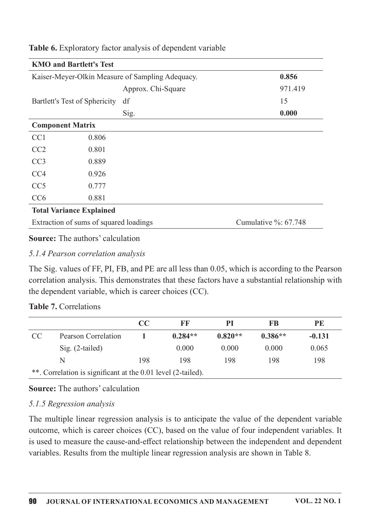|                                 | <b>KMO and Bartlett's Test</b>         |                                                  |                          |  |
|---------------------------------|----------------------------------------|--------------------------------------------------|--------------------------|--|
|                                 |                                        | Kaiser-Meyer-Olkin Measure of Sampling Adequacy. | 0.856                    |  |
|                                 |                                        | Approx. Chi-Square                               | 971.419                  |  |
|                                 | Bartlett's Test of Sphericity          | df                                               | 15                       |  |
|                                 |                                        | Sig.                                             | 0.000                    |  |
| <b>Component Matrix</b>         |                                        |                                                  |                          |  |
| CC <sub>1</sub>                 | 0.806                                  |                                                  |                          |  |
| CC2                             | 0.801                                  |                                                  |                          |  |
| CC <sub>3</sub>                 | 0.889                                  |                                                  |                          |  |
| CC <sub>4</sub>                 | 0.926                                  |                                                  |                          |  |
| CC <sub>5</sub>                 | 0.777                                  |                                                  |                          |  |
| CC <sub>6</sub>                 | 0.881                                  |                                                  |                          |  |
| <b>Total Variance Explained</b> |                                        |                                                  |                          |  |
|                                 | Extraction of sums of squared loadings |                                                  | Cumulative $\%$ : 67.748 |  |
|                                 |                                        |                                                  |                          |  |

Table 6. Exploratory factor analysis of dependent variable

### **Source:** The authors' calculation

#### 5.1.4 Pearson correlation analysis

The Sig. values of FF, PI, FB, and PE are all less than 0.05, which is according to the Pearson correlation analysis. This demonstrates that these factors have a substantial relationship with the dependent variable, which is career choices (CC).

### Table 7. Correlations

|                                                              |                     | CC  | FF        | PI        | FB        | PE       |
|--------------------------------------------------------------|---------------------|-----|-----------|-----------|-----------|----------|
| <sub>CC</sub>                                                | Pearson Correlation |     | $0.284**$ | $0.820**$ | $0.386**$ | $-0.131$ |
|                                                              | $Sig. (2-tailed)$   |     | 0.000     | 0.000     | 0.000     | 0.065    |
|                                                              | N                   | 198 | 198       | 198       | 198       | 198      |
| **. Correlation is significant at the 0.01 level (2-tailed). |                     |     |           |           |           |          |

#### Source: The authors' calculation

### 5.1.5 Regression analysis

The multiple linear regression analysis is to anticipate the value of the dependent variable outcome, which is career choices (CC), based on the value of four independent variables. It is used to measure the cause-and-effect relationship between the independent and dependent variables. Results from the multiple linear regression analysis are shown in Table 8.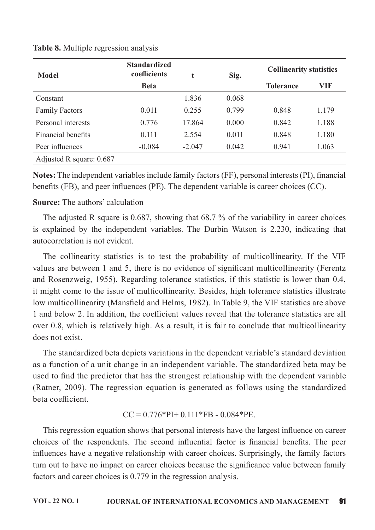| <b>Model</b>             | <b>Standardized</b><br>coefficients | $\bullet$ | Sig.  | <b>Collinearity statistics</b> |       |
|--------------------------|-------------------------------------|-----------|-------|--------------------------------|-------|
|                          | <b>Beta</b>                         |           |       | <b>Tolerance</b>               | VIF   |
| Constant                 |                                     | 1.836     | 0.068 |                                |       |
| <b>Family Factors</b>    | 0.011                               | 0.255     | 0.799 | 0.848                          | 1.179 |
| Personal interests       | 0.776                               | 17.864    | 0.000 | 0.842                          | 1.188 |
| Financial benefits       | 0.111                               | 2.554     | 0.011 | 0.848                          | 1.180 |
| Peer influences          | $-0.084$                            | $-2.047$  | 0.042 | 0.941                          | 1.063 |
| Adjusted R square: 0.687 |                                     |           |       |                                |       |

Table 8. Multiple regression analysis

Notes: The independent variables include family factors (FF), personal interests (PI), financial benefits (FB), and peer influences (PE). The dependent variable is career choices (CC).

### **Source:** The authors' calculation

The adjusted R square is 0.687, showing that 68.7% of the variability in career choices is explained by the independent variables. The Durbin Watson is 2.230, indicating that autocorrelation is not evident.

The collinearity statistics is to test the probability of multicollinearity. If the VIF values are between 1 and 5, there is no evidence of significant multicollinearity (Ferentz and Rosenzweig, 1955). Regarding tolerance statistics, if this statistic is lower than 0.4, it might come to the issue of multicollinearity. Besides, high tolerance statistics illustrate low multicollinearity (Mansfield and Helms, 1982). In Table 9, the VIF statistics are above 1 and below 2. In addition, the coefficient values reveal that the tolerance statistics are all over 0.8, which is relatively high. As a result, it is fair to conclude that multicollinearity does not exist.

The standardized beta depicts variations in the dependent variable's standard deviation as a function of a unit change in an independent variable. The standardized beta may be used to find the predictor that has the strongest relationship with the dependent variable (Ratner, 2009). The regression equation is generated as follows using the standardized beta coefficient.

### $CC = 0.776*PI+0.111*FB-0.084*PE.$

This regression equation shows that personal interests have the largest influence on career choices of the respondents. The second influential factor is financial benefits. The peer influences have a negative relationship with career choices. Surprisingly, the family factors turn out to have no impact on career choices because the significance value between family factors and career choices is 0.779 in the regression analysis.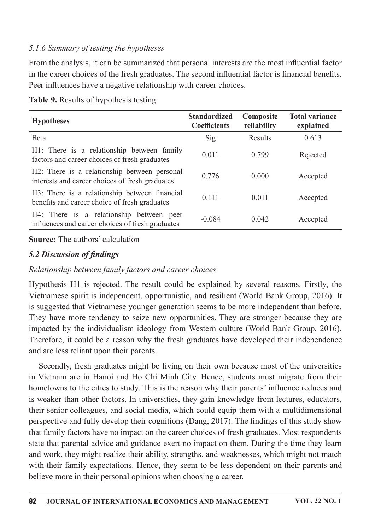### 5.1.6 Summary of testing the hypotheses

From the analysis, it can be summarized that personal interests are the most influential factor in the career choices of the fresh graduates. The second influential factor is financial benefits. Peer influences have a negative relationship with career choices.

| <b>Hypotheses</b>                                                                               | <b>Standardized</b><br><b>Coefficients</b> | Composite<br>reliability | <b>Total variance</b><br>explained |
|-------------------------------------------------------------------------------------------------|--------------------------------------------|--------------------------|------------------------------------|
| Beta                                                                                            | Sig                                        | Results                  | 0.613                              |
| H1: There is a relationship between family<br>factors and career choices of fresh graduates     | 0.011                                      | 0.799                    | Rejected                           |
| H2: There is a relationship between personal<br>interests and career choices of fresh graduates | 0.776                                      | 0.000                    | Accepted                           |
| H3: There is a relationship between financial<br>benefits and career choice of fresh graduates  | 0.111                                      | 0.011                    | Accepted                           |
| H4: There is a relationship between peer<br>influences and career choices of fresh graduates    | $-0.084$                                   | 0.042                    | Accepted                           |

Table 9. Results of hypothesis testing

#### **Source:** The authors' calculation

#### 5.2 Discussion of findings

#### Relationship between family factors and career choices

Hypothesis H1 is rejected. The result could be explained by several reasons. Firstly, the Vietnamese spirit is independent, opportunistic, and resilient (World Bank Group, 2016). It is suggested that Vietnamese younger generation seems to be more independent than before. They have more tendency to seize new opportunities. They are stronger because they are impacted by the individualism ideology from Western culture (World Bank Group, 2016). Therefore, it could be a reason why the fresh graduates have developed their independence and are less reliant upon their parents.

Secondly, fresh graduates might be living on their own because most of the universities in Vietnam are in Hanoi and Ho Chi Minh City. Hence, students must migrate from their hometowns to the cities to study. This is the reason why their parents' influence reduces and is weaker than other factors. In universities, they gain knowledge from lectures, educators, their senior colleagues, and social media, which could equip them with a multidimensional perspective and fully develop their cognitions (Dang, 2017). The findings of this study show that family factors have no impact on the career choices of fresh graduates. Most respondents state that parental advice and guidance exert no impact on them. During the time they learn and work, they might realize their ability, strengths, and weaknesses, which might not match with their family expectations. Hence, they seem to be less dependent on their parents and believe more in their personal opinions when choosing a career.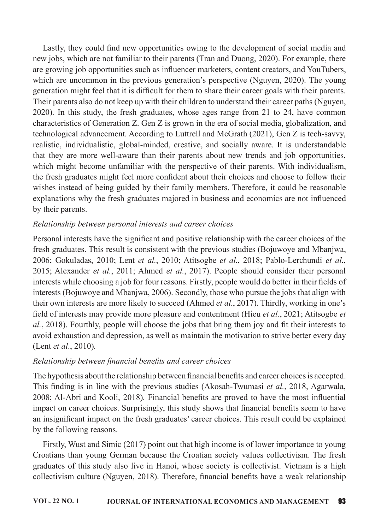Lastly, they could find new opportunities owing to the development of social media and new jobs, which are not familiar to their parents (Tran and Duong, 2020). For example, there are growing job opportunities such as influencer marketers, content creators, and YouTubers, which are uncommon in the previous generation's perspective (Nguyen, 2020). The young generation might feel that it is difficult for them to share their career goals with their parents. Their parents also do not keep up with their children to understand their career paths (Nguyen, 2020). In this study, the fresh graduates, whose ages range from 21 to 24, have common characteristics of Generation Z. Gen Z is grown in the era of social media, globalization, and technological advancement. According to Luttrell and McGrath (2021), Gen Z is tech-savvy, realistic, individualistic, global-minded, creative, and socially aware. It is understandable that they are more well-aware than their parents about new trends and job opportunities, which might become unfamiliar with the perspective of their parents. With individualism, the fresh graduates might feel more confident about their choices and choose to follow their wishes instead of being guided by their family members. Therefore, it could be reasonable explanations why the fresh graduates majored in business and economics are not influenced by their parents.

## Relationship between personal interests and career choices

Personal interests have the significant and positive relationship with the career choices of the fresh graduates. This result is consistent with the previous studies (Bojuwoye and Mbanjwa, 2006; Gokuladas, 2010; Lent et al., 2010; Atitsogbe et al., 2018; Pablo-Lerchundi et al., 2015; Alexander et al., 2011; Ahmed et al., 2017). People should consider their personal interests while choosing a job for four reasons. Firstly, people would do better in their fields of interests (Bojuwoye and Mbanjwa, 2006). Secondly, those who pursue the jobs that align with their own interests are more likely to succeed (Ahmed et al., 2017). Thirdly, working in one's field of interests may provide more pleasure and contentment (Hieu et al., 2021; Atitsogbe et al., 2018). Fourthly, people will choose the jobs that bring them joy and fit their interests to avoid exhaustion and depression, as well as maintain the motivation to strive better every day (Lent *et al.*, 2010).

# Relationship between financial benefits and career choices

The hypothesis about the relationship between financial benefits and career choices is accepted. This finding is in line with the previous studies (Akosah-Twumasi et al., 2018, Agarwala, 2008; Al-Abri and Kooli, 2018). Financial benefits are proved to have the most influential impact on career choices. Surprisingly, this study shows that financial benefits seem to have an insignificant impact on the fresh graduates' career choices. This result could be explained by the following reasons.

Firstly, Wust and Simic (2017) point out that high income is of lower importance to young Croatians than young German because the Croatian society values collectivism. The fresh graduates of this study also live in Hanoi, whose society is collectivist. Vietnam is a high collectivism culture (Nguyen, 2018). Therefore, financial benefits have a weak relationship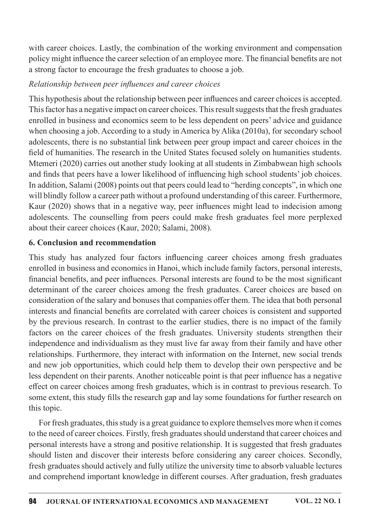with career choices. Lastly, the combination of the working environment and compensation policy might influence the career selection of an employee more. The financial benefits are not a strong factor to encourage the fresh graduates to choose a job.

# Relationship between peer influences and career choices

This hypothesis about the relationship between peer influences and career choices is accepted. This factor has a negative impact on career choices. This result suggests that the fresh graduates enrolled in business and economics seem to be less dependent on peers' advice and guidance when choosing a job. According to a study in America by Alika (2010a), for secondary school adolescents, there is no substantial link between peer group impact and career choices in the field of humanities. The research in the United States focused solely on humanities students. Mtemeri (2020) carries out another study looking at all students in Zimbabwean high schools and finds that peers have a lower likelihood of influencing high school students' job choices. In addition, Salami (2008) points out that peers could lead to "herding concepts", in which one will blindly follow a career path without a profound understanding of this career. Furthermore, Kaur (2020) shows that in a negative way, peer influences might lead to indecision among adolescents. The counselling from peers could make fresh graduates feel more perplexed about their career choices (Kaur, 2020; Salami, 2008).

# 6. Conclusion and recommendation

This study has analyzed four factors influencing career choices among fresh graduates enrolled in business and economics in Hanoi, which include family factors, personal interests, financial benefits, and peer influences. Personal interests are found to be the most significant determinant of the career choices among the fresh graduates. Career choices are based on consideration of the salary and bonuses that companies offer them. The idea that both personal interests and financial benefits are correlated with career choices is consistent and supported by the previous research. In contrast to the earlier studies, there is no impact of the family factors on the career choices of the fresh graduates. University students strengthen their independence and individualism as they must live far away from their family and have other relationships. Furthermore, they interact with information on the Internet, new social trends and new job opportunities, which could help them to develop their own perspective and be less dependent on their parents. Another noticeable point is that peer influence has a negative effect on career choices among fresh graduates, which is in contrast to previous research. To some extent, this study fills the research gap and lay some foundations for further research on this topic.

For fresh graduates, this study is a great guidance to explore themselves more when it comes to the need of career choices. Firstly, fresh graduates should understand that career choices and personal interests have a strong and positive relationship. It is suggested that fresh graduates should listen and discover their interests before considering any career choices. Secondly, fresh graduates should actively and fully utilize the university time to absorb valuable lectures and comprehend important knowledge in different courses. After graduation, fresh graduates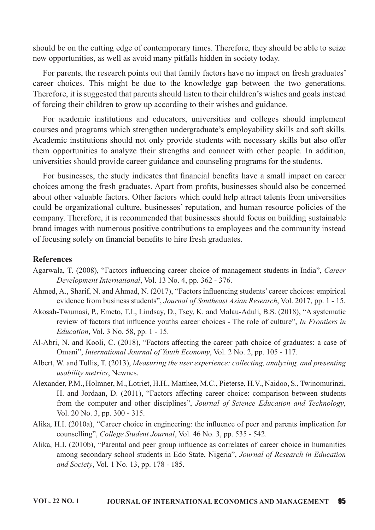should be on the cutting edge of contemporary times. Therefore, they should be able to seize new opportunities, as well as avoid many pitfalls hidden in society today.

For parents, the research points out that family factors have no impact on fresh graduates' career choices. This might be due to the knowledge gap between the two generations. Therefore, it is suggested that parents should listen to their children's wishes and goals instead of forcing their children to grow up according to their wishes and guidance.

For academic institutions and educators, universities and colleges should implement courses and programs which strengthen undergraduate's employability skills and soft skills. Academic institutions should not only provide students with necessary skills but also offer them opportunities to analyze their strengths and connect with other people. In addition, universities should provide career guidance and counseling programs for the students.

For businesses, the study indicates that financial benefits have a small impact on career choices among the fresh graduates. Apart from profits, businesses should also be concerned about other valuable factors. Other factors which could help attract talents from universities could be organizational culture, businesses' reputation, and human resource policies of the company. Therefore, it is recommended that businesses should focus on building sustainable brand images with numerous positive contributions to employees and the community instead of focusing solely on financial benefits to hire fresh graduates.

#### References

- Agarwala, T. (2008), "Factors influencing career choice of management students in India", Career Development International, Vol. 13 No. 4, pp. 362 - 376.
- Ahmed, A., Sharif, N. and Ahmad, N. (2017), "Factors influencing students' career choices: empirical evidence from business students", Journal of Southeast Asian Research, Vol. 2017, pp. 1 - 15.
- Akosah-Twumasi, P., Emeto, T.I., Lindsay, D., Tsey, K. and Malau-Aduli, B.S. (2018), "A systematic review of factors that influence youths career choices - The role of culture", In Frontiers in *Education*, Vol. 3 No. 58, pp. 1 - 15.
- Al-Abri, N. and Kooli, C. (2018), "Factors affecting the career path choice of graduates: a case of Omani", International Journal of Youth Economy, Vol. 2 No. 2, pp. 105 - 117.
- Albert, W. and Tullis, T. (2013), Measuring the user experience: collecting, analyzing, and presenting usability metrics, Newnes.
- Alexander, P.M., Holmner, M., Lotriet, H.H., Matthee, M.C., Pieterse, H.V., Naidoo, S., Twinomurinzi, H. and Jordaan, D. (2011), "Factors affecting career choice: comparison between students from the computer and other disciplines", Journal of Science Education and Technology, Vol. 20 No. 3, pp. 300 - 315.
- Alika, H.I. (2010a), "Career choice in engineering: the influence of peer and parents implication for counselling", College Student Journal, Vol. 46 No. 3, pp. 535 - 542.
- Alika, H.I. (2010b), "Parental and peer group influence as correlates of career choice in humanities among secondary school students in Edo State, Nigeria", Journal of Research in Education and Society, Vol. 1 No. 13, pp.  $178 - 185$ .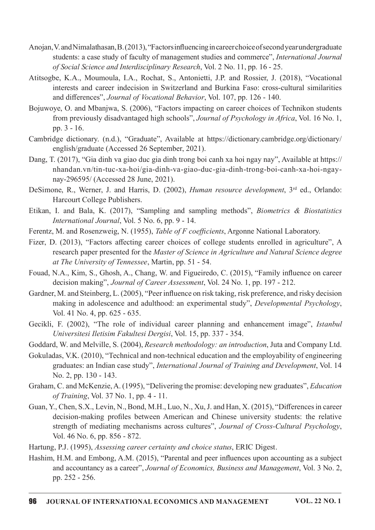- Anojan, V. and Nimalathasan, B. (2013), "Factors influencing in career choice of second vearundergraduate students: a case study of faculty of management studies and commerce", International Journal of Social Science and Interdisciplinary Research, Vol. 2 No. 11, pp. 16 - 25.
- Atitsogbe, K.A., Moumoula, I.A., Rochat, S.,Antonietti, J.P. and Rossier, J. (2018), "Vocational interests and career indecision in Switzerland and Burkina Faso: cross-cultural similarities and differences", Journal of Vocational Behavior, Vol. 107, pp. 126 - 140.
- Bojuwoye, O. and Mbanjwa, S. (2006), "Factors impacting on career choices of Technikon students from previously disadvantaged high schools", Journal of Psychology in Africa, Vol. 16 No. 1, pp.3-16.
- Cambridge dictionary. (n.d.), "Graduate", Available at https://dictionary.cambridge.org/dictionary/ english/graduate (Accessed 26 September, 2021).
- Dang, T. (2017), "Gia dinh va giao duc gia dinh trong boi canh xa hoi ngay nay", Available at https:// nhandan.vn/tin-tuc-xa-hoi/gia-dinh-va-giao-duc-gia-dinh-trong-boi-canh-xa-hoi-ngaynay-296595/ (Accessed 28 June, 2021).
- DeSimone, R., Werner, J. and Harris, D. (2002), Human resource development, 3<sup>rd</sup> ed., Orlando: Harcourt College Publishers.
- Etikan, I. and Bala, K. (2017), "Sampling and sampling methods", *Biometrics & Biostatistics* International Journal, Vol. 5 No. 6, pp. 9 - 14.
- Ferentz, M. and Rosenzweig, N. (1955), Table of F coefficients, Argonne National Laboratory.
- Fizer, D. (2013), "Factors affecting career choices of college students enrolled in agriculture", A research paper presented for the Master of Science in Agriculture and Natural Science degree at The University of Tennessee, Martin, pp.  $51 - 54$ .
- Fouad, N.A., Kim, S., Ghosh, A., Chang, W. and Figueiredo, C. (2015), "Family influence on career decision making", Journal of Career Assessment, Vol. 24 No. 1, pp. 197 - 212.
- Gardner, M. and Steinberg, L. (2005), "Peer influence on risk taking, risk preference, and risky decision making in adolescence and adulthood: an experimental study", Developmental Psychology, Vol.41No.4,pp.625-635.
- Gecikli, F. (2002), "The role of individual career planning and enhancement image", Istanbul Universitesi Iletisim Fakultesi Dergisi, Vol. 15, pp. 337 - 354.
- Goddard, W. and Melville, S. (2004), Research methodology: an introduction, Juta and Company Ltd.
- Gokuladas, V.K. (2010), "Technical and non-technical education and the employability of engineering graduates: an Indian case study", International Journal of Training and Development, Vol. 14 No. 2, pp. 130 - 143.
- Graham, C. and McKenzie, A. (1995), "Delivering the promise: developing new graduates", *Education* of Training, Vol. 37 No. 1, pp.  $4 - 11$ .
- Guan, Y., Chen, S.X., Levin, N., Bond, M.H., Luo, N., Xu, J. and Han, X. (2015), "Differences in career decision-making profiles between American and Chinese university students: the relative strength of mediating mechanisms across cultures", Journal of Cross-Cultural Psychology, Vol.46No.6,pp.856-872.
- Hartung, P.J. (1995), Assessing career certainty and choice status, ERIC Digest.
- Hashim, H.M. and Embong, A.M. (2015), "Parental and peer influences upon accounting as a subject and accountancy as a career", Journal of Economics, Business and Management, Vol. 3 No. 2, pp.252-256.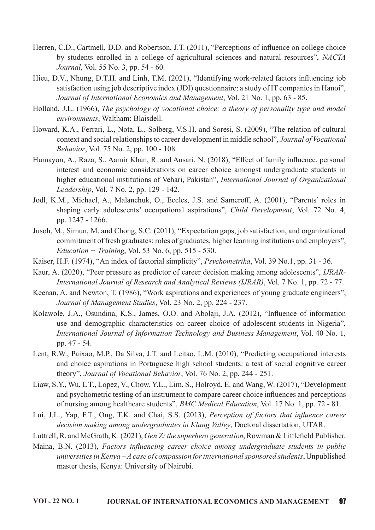- Herren, C.D., Cartmell, D.D. and Robertson, J.T. (2011), "Perceptions of influence on college choice by students enrolled in a college of agricultural sciences and natural resources", NACTA Journal, Vol. 55 No. 3, pp. 54 - 60.
- Hieu, D.V., Nhung, D.T.H. and Linh, T.M. (2021), "Identifying work-related factors influencing job satisfaction using job descriptive index (JDI) questionnaire: a study of IT companies in Hanoi", Journal of International Economics and Management, Vol. 21 No. 1, pp. 63 - 85.
- Holland, J.L. (1966), The psychology of vocational choice: a theory of personality type and model environments, Waltham: Blaisdell.
- Howard, K.A., Ferrari, L., Nota, L., Solberg, V.S.H. and Soresi, S. (2009), "The relation of cultural context and social relationships to career development in middle school", Journal of Vocational Behavior, Vol. 75 No. 2, pp. 100 - 108.
- Humayon, A., Raza, S., Aamir Khan, R. and Ansari, N. (2018), "Effect of family influence, personal interest and economic considerations on career choice amongst undergraduate students in higher educational institutions of Vehari, Pakistan", International Journal of Organizational Leadership, Vol. 7 No. 2, pp. 129 - 142.
- Jodl, K.M., Michael, A., Malanchuk, O., Eccles, J.S. and Sameroff, A. (2001), "Parents' roles in shaping early adolescents' occupational aspirations", Child Development, Vol. 72 No. 4, pp.1247-1266.
- Jusoh, M., Simun, M. and Chong, S.C. (2011), "Expectation gaps, job satisfaction, and organizational commitment of fresh graduates: roles of graduates, higher learning institutions and employers",  $Education + Training$ , Vol. 53 No. 6, pp. 515 - 530.
- Kaiser, H.F. (1974), "An index of factorial simplicity", Psychometrika, Vol. 39 No.1, pp. 31 36.
- Kaur, A. (2020), "Peer pressure as predictor of career decision making among adolescents", *IJRAR*-International Journal of Research and Analytical Reviews (IJRAR), Vol. 7 No. 1, pp. 72 - 77.
- Keenan, A. and Newton, T. (1986), "Work aspirations and experiences of young graduate engineers", Journal of Management Studies, Vol. 23 No. 2, pp. 224 - 237.
- Kolawole, J.A., Osundina, K.S., James, O.O. and Abolaji, J.A. (2012), "Influence of information use and demographic characteristics on career choice of adolescent students in Nigeria", International Journal of Information Technology and Business Management, Vol. 40 No. 1, pp. 47 - 54.
- Lent, R.W., Paixao, M.P., Da Silva, J.T. and Leitao, L.M. (2010), "Predicting occupational interests and choice aspirations in Portuguese high school students: a test of social cognitive career theory", *Journal of Vocational Behavior*, Vol. 76 No. 2, pp. 244 - 251.
- Liaw,S.Y.,Wu,LT.,Lopez,V.,Chow,Y.L.,Lim,S.,Holroyd,E.andWang,W.(2017),"Development and psychometric testing of an instrument to compare career choice influences and perceptions of nursing among healthcare students", BMC Medical Education, Vol. 17 No. 1, pp. 72 - 81.
- Lui, J.L., Yap, F.T., Ong, T.K. and Chai, S.S. (2013), Perception of factors that influence career decision making among undergraduates in Klang Valley, Doctoral dissertation, UTAR.
- Luttrell, R. and McGrath, K. (2021), Gen Z: the superhero generation, Rowman & Littlefield Publisher.
- Maina, B.N. (2013), Factors influencing career choice among undergraduate students in public universities in Kenya – A case of compassion for international sponsored students, Unpublished master thesis, Kenya: University of Nairobi.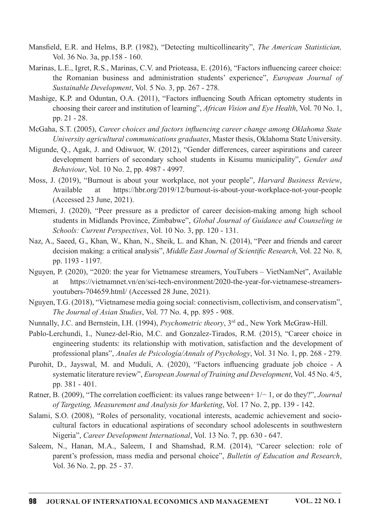- Mansfield, E.R. and Helms, B.P. (1982), "Detecting multicollinearity", The American Statistician, Vol.36No.3a,pp.158-160.
- Marinas, L.E., Igret, R.S., Marinas, C.V. and Prioteasa, E. (2016), "Factors influencing career choice: the Romanian business and administration students' experience", European Journal of Sustainable Development, Vol. 5 No. 3, pp. 267 - 278.
- Mashige, K.P. and Oduntan, O.A. (2011), "Factors influencing South African optometry students in choosing their career and institution of learning", African Vision and Eye Health, Vol. 70 No. 1, pp.  $21 - 28$ .
- McGaha, S.T. (2005), Career choices and factors influencing career change among Oklahoma State University agricultural communications graduates, Master thesis, Oklahoma State University.
- Migunde, Q., Agak, J. and Odiwuor, W. (2012), "Gender differences, career aspirations and career development barriers of secondary school students in Kisumu municipality", Gender and Behaviour, Vol. 10 No. 2, pp. 4987 - 4997.
- Moss, J. (2019), "Burnout is about your workplace, not your people", *Harvard Business Review*, Available at https://hbr.org/2019/12/burnout-is-about-your-workplace-not-your-people  $(A$ ccessed 23 June, 2021).
- Mtemeri, J. (2020), "Peer pressure as a predictor of career decision-making among high school students in Midlands Province, Zimbabwe", Global Journal of Guidance and Counseling in Schools: Current Perspectives, Vol. 10 No. 3, pp. 120 - 131.
- Naz, A., Saeed, G., Khan, W., Khan, N., Sheik, L. and Khan, N. (2014), "Peer and friends and career decision making: a critical analysis", *Middle East Journal of Scientific Research*, Vol. 22 No. 8, pp. 1193 - 1197.
- Nguyen, P. (2020), "2020: the year for Vietnamese streamers, YouTubers VietNamNet", Available at https://vietnamnet.vn/en/sci-tech-environment/2020-the-year-for-vietnamese-streamersyoutubers-704659.html/ (Accessed 28 June, 2021).
- Nguyen, T.G. (2018), "Vietnamese media going social: connectivism, collectivism, and conservatism", The Journal of Asian Studies, Vol. 77 No. 4, pp. 895 - 908.
- Nunnally, J.C. and Bernstein, I.H. (1994), Psychometric theory, 3<sup>rd</sup> ed., New York McGraw-Hill.
- Pablo-Lerchundi, I., Nunez-del-Rio, M.C. and Gonzalez-Tirados, R.M. (2015), "Career choice in engineering students: its relationship with motivation, satisfaction and the development of professional plans", Anales de Psicología/Annals of Psychology, Vol. 31 No. 1, pp. 268 - 279.
- Purohit, D., Jayswal, M. and Muduli, A. (2020), "Factors influencing graduate job choice A systematic literature review", European Journal of Training and Development, Vol. 45 No. 4/5, pp. 381 - 401.
- Ratner, B. (2009), "The correlation coefficient: its values range between+  $1/-1$ , or do they?", *Journal* of Targeting, Measurement and Analysis for Marketing, Vol. 17 No. 2, pp. 139 - 142.
- Salami, S.O. (2008), "Roles of personality, vocational interests, academic achievement and sociocultural factors in educational aspirations of secondary school adolescents in southwestern Nigeria", Career Development International, Vol. 13 No. 7, pp. 630 - 647.
- Saleem, N., Hanan, M.A., Saleem, I and Shamshad, R.M. (2014), "Career selection: role of parent's profession, mass media and personal choice", Bulletin of Education and Research, Vol.36No.2,pp.25-37.